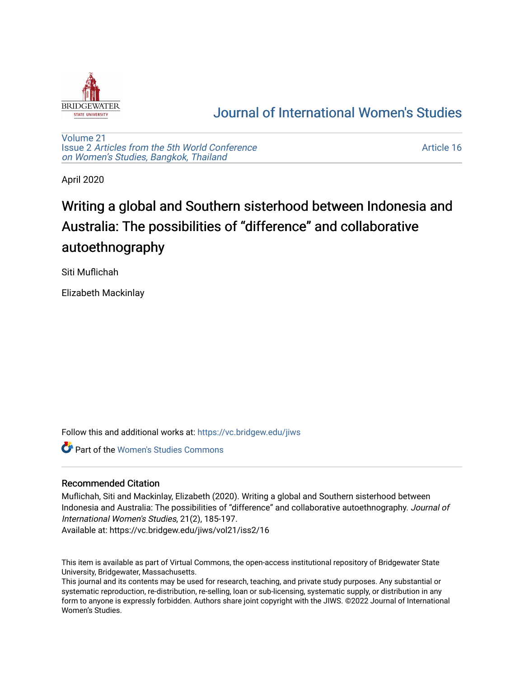

## [Journal of International Women's Studies](https://vc.bridgew.edu/jiws)

[Volume 21](https://vc.bridgew.edu/jiws/vol21) Issue 2 [Articles from the 5th World Conference](https://vc.bridgew.edu/jiws/vol21/iss2) [on Women's Studies, Bangkok, Thailand](https://vc.bridgew.edu/jiws/vol21/iss2) 

[Article 16](https://vc.bridgew.edu/jiws/vol21/iss2/16) 

April 2020

# Writing a global and Southern sisterhood between Indonesia and Australia: The possibilities of "difference" and collaborative autoethnography

Siti Muflichah

Elizabeth Mackinlay

Follow this and additional works at: [https://vc.bridgew.edu/jiws](https://vc.bridgew.edu/jiws?utm_source=vc.bridgew.edu%2Fjiws%2Fvol21%2Fiss2%2F16&utm_medium=PDF&utm_campaign=PDFCoverPages)

Part of the [Women's Studies Commons](http://network.bepress.com/hgg/discipline/561?utm_source=vc.bridgew.edu%2Fjiws%2Fvol21%2Fiss2%2F16&utm_medium=PDF&utm_campaign=PDFCoverPages) 

### Recommended Citation

Muflichah, Siti and Mackinlay, Elizabeth (2020). Writing a global and Southern sisterhood between Indonesia and Australia: The possibilities of "difference" and collaborative autoethnography. Journal of International Women's Studies, 21(2), 185-197.

Available at: https://vc.bridgew.edu/jiws/vol21/iss2/16

This item is available as part of Virtual Commons, the open-access institutional repository of Bridgewater State University, Bridgewater, Massachusetts.

This journal and its contents may be used for research, teaching, and private study purposes. Any substantial or systematic reproduction, re-distribution, re-selling, loan or sub-licensing, systematic supply, or distribution in any form to anyone is expressly forbidden. Authors share joint copyright with the JIWS. ©2022 Journal of International Women's Studies.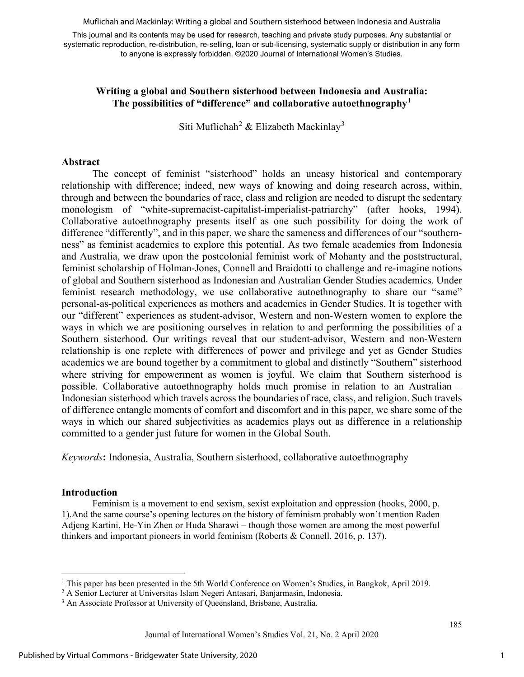Muflichah and Mackinlay: Writing a global and Southern sisterhood between Indonesia and Australia

This journal and its contents may be used for research, teaching and private study purposes. Any substantial or systematic reproduction, re-distribution, re-selling, loan or sub-licensing, systematic supply or distribution in any form to anyone is expressly forbidden. ©2020 Journal of International Women's Studies.

#### **Writing a global and Southern sisterhood between Indonesia and Australia: The possibilities of "difference" and collaborative autoethnography**[1](#page-1-0)

Siti Muflichah<sup>[2](#page-1-1)</sup> & Elizabeth Mackinlay<sup>[3](#page-1-2)</sup>

#### **Abstract**

The concept of feminist "sisterhood" holds an uneasy historical and contemporary relationship with difference; indeed, new ways of knowing and doing research across, within, through and between the boundaries of race, class and religion are needed to disrupt the sedentary monologism of "white-supremacist-capitalist-imperialist-patriarchy" (after hooks, 1994). Collaborative autoethnography presents itself as one such possibility for doing the work of difference "differently", and in this paper, we share the sameness and differences of our "southernness" as feminist academics to explore this potential. As two female academics from Indonesia and Australia, we draw upon the postcolonial feminist work of Mohanty and the poststructural, feminist scholarship of Holman-Jones, Connell and Braidotti to challenge and re-imagine notions of global and Southern sisterhood as Indonesian and Australian Gender Studies academics. Under feminist research methodology, we use collaborative autoethnography to share our "same" personal-as-political experiences as mothers and academics in Gender Studies. It is together with our "different" experiences as student-advisor, Western and non-Western women to explore the ways in which we are positioning ourselves in relation to and performing the possibilities of a Southern sisterhood. Our writings reveal that our student-advisor, Western and non-Western relationship is one replete with differences of power and privilege and yet as Gender Studies academics we are bound together by a commitment to global and distinctly "Southern" sisterhood where striving for empowerment as women is joyful. We claim that Southern sisterhood is possible. Collaborative autoethnography holds much promise in relation to an Australian – Indonesian sisterhood which travels across the boundaries of race, class, and religion. Such travels of difference entangle moments of comfort and discomfort and in this paper, we share some of the ways in which our shared subjectivities as academics plays out as difference in a relationship committed to a gender just future for women in the Global South.

*Keywords***:** Indonesia, Australia, Southern sisterhood, collaborative autoethnography

#### **Introduction**

Feminism is a movement to end sexism, sexist exploitation and oppression (hooks, 2000, p. 1).And the same course's opening lectures on the history of feminism probably won't mention Raden Adjeng Kartini, He-Yin Zhen or Huda Sharawi – though those women are among the most powerful thinkers and important pioneers in world feminism (Roberts & Connell, 2016, p. 137).

<span id="page-1-0"></span><sup>&</sup>lt;sup>1</sup> This paper has been presented in the 5th World Conference on Women's Studies, in Bangkok, April 2019.

<span id="page-1-1"></span><sup>&</sup>lt;sup>2</sup> A Senior Lecturer at Universitas Islam Negeri Antasari, Banjarmasin, Indonesia.

<span id="page-1-2"></span><sup>&</sup>lt;sup>3</sup> An Associate Professor at University of Queensland, Brisbane, Australia.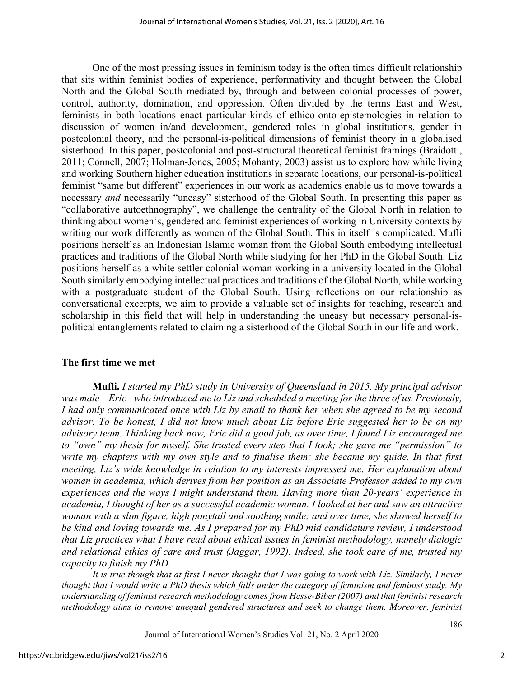One of the most pressing issues in feminism today is the often times difficult relationship that sits within feminist bodies of experience, performativity and thought between the Global North and the Global South mediated by, through and between colonial processes of power, control, authority, domination, and oppression. Often divided by the terms East and West, feminists in both locations enact particular kinds of ethico-onto-epistemologies in relation to discussion of women in/and development, gendered roles in global institutions, gender in postcolonial theory, and the personal-is-political dimensions of feminist theory in a globalised sisterhood. In this paper, postcolonial and post-structural theoretical feminist framings (Braidotti, 2011; Connell, 2007; Holman-Jones, 2005; Mohanty, 2003) assist us to explore how while living and working Southern higher education institutions in separate locations, our personal-is-political feminist "same but different" experiences in our work as academics enable us to move towards a necessary *and* necessarily "uneasy" sisterhood of the Global South. In presenting this paper as "collaborative autoethnography", we challenge the centrality of the Global North in relation to thinking about women's, gendered and feminist experiences of working in University contexts by writing our work differently as women of the Global South. This in itself is complicated. Mufli positions herself as an Indonesian Islamic woman from the Global South embodying intellectual practices and traditions of the Global North while studying for her PhD in the Global South. Liz positions herself as a white settler colonial woman working in a university located in the Global South similarly embodying intellectual practices and traditions of the Global North, while working with a postgraduate student of the Global South. Using reflections on our relationship as conversational excerpts, we aim to provide a valuable set of insights for teaching, research and scholarship in this field that will help in understanding the uneasy but necessary personal-ispolitical entanglements related to claiming a sisterhood of the Global South in our life and work.

#### **The first time we met**

**Mufli.** *I started my PhD study in University of Queensland in 2015. My principal advisor*  was male – Eric - who introduced me to Liz and scheduled a meeting for the *three of us. Previously*, *I had only communicated once with Liz by email to thank her when she agreed to be my second advisor. To be honest, I did not know much about Liz before Eric suggested her to be on my advisory team. Thinking back now, Eric did a good job, as over time, I found Liz encouraged me to "own" my thesis for myself. She trusted every step that I took; she gave me "permission" to write my chapters with my own style and to finalise them: she became my guide. In that first meeting, Liz's wide knowledge in relation to my interests impressed me. Her explanation about women in academia, which derives from her position as an Associate Professor added to my own experiences and the ways I might understand them. Having more than 20-years' experience in academia, I thought of her as a successful academic woman. I looked at her and saw an attractive woman with a slim figure, high ponytail and soothing smile; and over time, she showed herself to be kind and loving towards me. As I prepared for my PhD mid candidature review, I understood that Liz practices what I have read about ethical issues in feminist methodology, namely dialogic and relational ethics of care and trust (Jaggar, 1992). Indeed, she took care of me, trusted my capacity to finish my PhD.* 

*It is true though that at first I never thought that I was going to work with Liz. Similarly, I never thought that I would write a PhD thesis which falls under the category of feminism and feminist study. My understanding of feminist research methodology comes from Hesse-Biber (2007) and that feminist research methodology aims to remove unequal gendered structures and seek to change them. Moreover, feminist*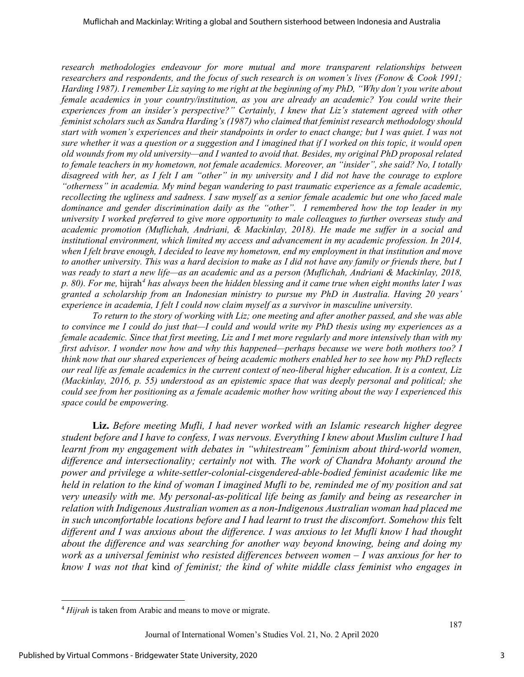*research methodologies endeavour for more mutual and more transparent relationships between researchers and respondents, and the focus of such research is on women's lives (Fonow & Cook 1991; Harding 1987). I remember Liz saying to me right at the beginning of my PhD, "Why don't you write about female academics in your country/institution, as you are already an academic? You could write their experiences from an insider's perspective?" Certainly, I knew that Liz's statement agreed with other feminist scholars such as Sandra Harding's (1987) who claimed that feminist research methodology should start with women's experiences and their standpoints in order to enact change; but I was quiet. I was not sure whether it was a question or a suggestion and I imagined that if I worked on this topic, it would open old wounds from my old university—and I wanted to avoid that. Besides, my original PhD proposal related to female teachers in my hometown, not female academics. Moreover, an "insider", she said? No, I totally disagreed with her, as I felt I am "other" in my university and I did not have the courage to explore "otherness" in academia. My mind began wandering to past traumatic experience as a female academic, recollecting the ugliness and sadness. I saw myself as a senior female academic but one who faced male dominance and gender discrimination daily as the "other". I remembered how the top leader in my university I worked preferred to give more opportunity to male colleagues to further overseas study and academic promotion (Muflichah, Andriani, & Mackinlay, 2018). He made me suffer in a social and institutional environment, which limited my access and advancement in my academic profession. In 2014, when I felt brave enough, I decided to leave my hometown, end my employment in that institution and move to another university. This was a hard decision to make as I did not have any family or friends there, but I was ready to start a new life—as an academic and as a person (Muflichah, Andriani & Mackinlay, 2018, p. 80). For me,* hijrah*[4](#page-3-0) has always been the hidden blessing and it came true when eight months later I was granted a scholarship from an Indonesian ministry to pursue my PhD in Australia. Having 20 years' experience in academia, I felt I could now claim myself as a survivor in masculine university.*

*To return to the story of working with Liz; one meeting and after another passed, and she was able to convince me I could do just that—I could and would write my PhD thesis using my experiences as a female academic. Since that first meeting, Liz and I met more regularly and more intensively than with my first advisor. I wonder now how and why this happened—perhaps because we were both mothers too? I think now that our shared experiences of being academic mothers enabled her to see how my PhD reflects our real life as female academics in the current context of neo-liberal higher education. It is a context, Liz (Mackinlay, 2016, p. 55) understood as an epistemic space that was deeply personal and political; she could see from her positioning as a female academic mother how writing about the way I experienced this space could be empowering.* 

**Liz.** *Before meeting Mufli, I had never worked with an Islamic research higher degree student before and I have to confess, I was nervous. Everything I knew about Muslim culture I had learnt from my engagement with debates in "whitestream" feminism about third-world women, difference and intersectionality; certainly not* with*. The work of Chandra Mohanty around the power and privilege a white-settler-colonial-cisgendered-able-bodied feminist academic like me held in relation to the kind of woman I imagined Mufli to be, reminded me of my position and sat very uneasily with me. My personal-as-political life being as family and being as researcher in relation with Indigenous Australian women as a non-Indigenous Australian woman had placed me*  in such uncomfortable locations before and I had learnt to trust the discomfort. Somehow this felt *different and I was anxious about the difference. I was anxious to let Mufli know I had thought about the difference and was searching for another way beyond knowing, being and doing my work as a universal feminist who resisted differences between women – I was anxious for her to know I was not that* kind *of feminist; the kind of white middle class feminist who engages in* 

<span id="page-3-0"></span><sup>4</sup> *Hijrah* is taken from Arabic and means to move or migrate.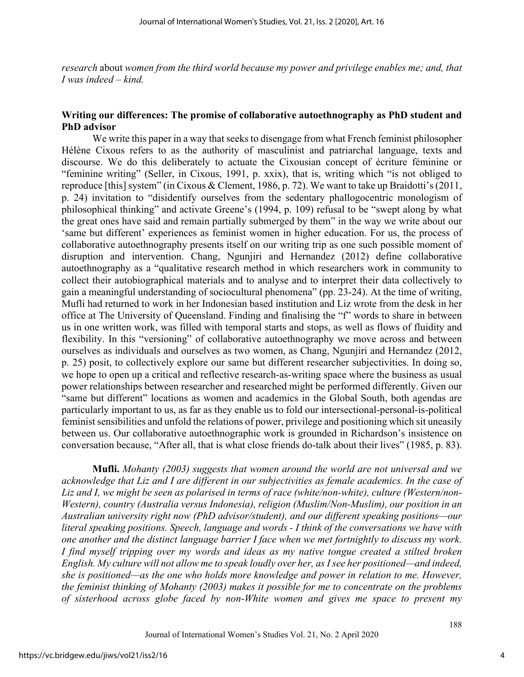*research* about *women from the third world because my power and privilege enables me; and, that I was indeed – kind.* 

#### **Writing our differences: The promise of collaborative autoethnography as PhD student and PhD advisor**

We write this paper in a way that seeks to disengage from what French feminist philosopher Hélène Cixous refers to as the authority of masculinist and patriarchal language, texts and discourse. We do this deliberately to actuate the Cixousian concept of écriture féminine or "feminine writing" (Seller, in Cixous, 1991, p. xxix), that is, writing which "is not obliged to reproduce [this] system" (in Cixous & Clement, 1986, p. 72). We want to take up Braidotti's (2011, p. 24) invitation to "disidentify ourselves from the sedentary phallogocentric monologism of philosophical thinking" and activate Greene's (1994, p. 109) refusal to be "swept along by what the great ones have said and remain partially submerged by them" in the way we write about our 'same but different' experiences as feminist women in higher education. For us, the process of collaborative autoethnography presents itself on our writing trip as one such possible moment of disruption and intervention. Chang, Ngunjiri and Hernandez (2012) define collaborative autoethnography as a "qualitative research method in which researchers work in community to collect their autobiographical materials and to analyse and to interpret their data collectively to gain a meaningful understanding of sociocultural phenomena" (pp. 23-24). At the time of writing, Mufli had returned to work in her Indonesian based institution and Liz wrote from the desk in her office at The University of Queensland. Finding and finalising the "f" words to share in between us in one written work, was filled with temporal starts and stops, as well as flows of fluidity and flexibility. In this "versioning" of collaborative autoethnography we move across and between ourselves as individuals and ourselves as two women, as Chang, Ngunjiri and Hernandez (2012, p. 25) posit, to collectively explore our same but different researcher subjectivities. In doing so, we hope to open up a critical and reflective research-as-writing space where the business as usual power relationships between researcher and researched might be performed differently. Given our "same but different" locations as women and academics in the Global South, both agendas are particularly important to us, as far as they enable us to fold our intersectional-personal-is-political feminist sensibilities and unfold the relations of power, privilege and positioning which sit uneasily between us. Our collaborative autoethnographic work is grounded in Richardson's insistence on conversation because, "After all, that is what close friends do-talk about their lives" (1985, p. 83).

**Mufli.** *Mohanty (2003) suggests that women around the world are not universal and we acknowledge that Liz and I are different in our subjectivities as female academics. In the case of Liz and I, we might be seen as polarised in terms of race (white/non-white), culture (Western/non-Western), country (Australia versus Indonesia), religion (Muslim/Non-Muslim), our position in an Australian university right now (PhD advisor/student), and our different speaking positions—our literal speaking positions. Speech, language and words - I think of the conversations we have with one another and the distinct language barrier I face when we met fortnightly to discuss my work. I find myself tripping over my words and ideas as my native tongue created a stilted broken English. My culture will not allow me to speak loudly over her, as I see her positioned—and indeed, she is positioned—as the one who holds more knowledge and power in relation to me. However, the feminist thinking of Mohanty (2003) makes it possible for me to concentrate on the problems of sisterhood across globe faced by non-White women and gives me space to present my*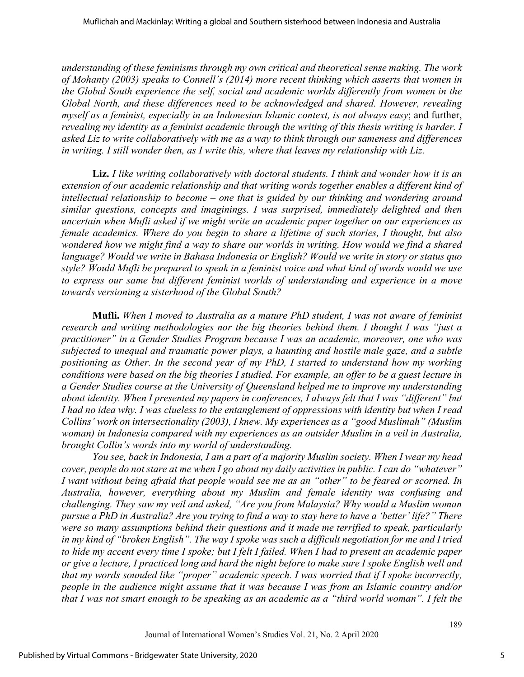*understanding of these feminisms through my own critical and theoretical sense making. The work of Mohanty (2003) speaks to Connell's (2014) more recent thinking which asserts that women in the Global South experience the self, social and academic worlds differently from women in the Global North, and these differences need to be acknowledged and shared. However, revealing myself as a feminist, especially in an Indonesian Islamic context, is not always easy*; and further, *revealing my identity as a feminist academic through the writing of this thesis writing is harder. I asked Liz to write collaboratively with me as a way to think through our sameness and differences in writing. I still wonder then, as I write this, where that leaves my relationship with Liz.* 

**Liz.** *I like writing collaboratively with doctoral students. I think and wonder how it is an extension of our academic relationship and that writing words together enables a different kind of intellectual relationship to become – one that is guided by our thinking and wondering around similar questions, concepts and imaginings. I was surprised, immediately delighted and then uncertain when Mufli asked if we might write an academic paper together on our experiences as female academics. Where do you begin to share a lifetime of such stories, I thought, but also wondered how we might find a way to share our worlds in writing. How would we find a shared language? Would we write in Bahasa Indonesia or English? Would we write in story or status quo style? Would Mufli be prepared to speak in a feminist voice and what kind of words would we use to express our same but different feminist worlds of understanding and experience in a move towards versioning a sisterhood of the Global South?* 

**Mufli.** *When I moved to Australia as a mature PhD student, I was not aware of feminist research and writing methodologies nor the big theories behind them. I thought I was "just a practitioner" in a Gender Studies Program because I was an academic, moreover, one who was subjected to unequal and traumatic power plays, a haunting and hostile male gaze, and a subtle positioning as Other. In the second year of my PhD, I started to understand how my working conditions were based on the big theories I studied. For example, an offer to be a guest lecture in a Gender Studies course at the University of Queensland helped me to improve my understanding about identity. When I presented my papers in conferences, I always felt that I was "different" but I had no idea why. I was clueless to the entanglement of oppressions with identity but when I read Collins' work on intersectionality (2003), I knew. My experiences as a "good Muslimah" (Muslim woman) in Indonesia compared with my experiences as an outsider Muslim in a veil in Australia, brought Collin's words into my world of understanding.* 

*You see, back in Indonesia, I am a part of a majority Muslim society. When I wear my head cover, people do not stare at me when I go about my daily activities in public. I can do "whatever" I want without being afraid that people would see me as an "other" to be feared or scorned. In Australia, however, everything about my Muslim and female identity was confusing and challenging. They saw my veil and asked, "Are you from Malaysia? Why would a Muslim woman pursue a PhD in Australia? Are you trying to find a way to stay here to have a 'better' life?" There were so many assumptions behind their questions and it made me terrified to speak, particularly in my kind of "broken English". The way I spoke was such a difficult negotiation for me and I tried to hide my accent every time I spoke; but I felt I failed. When I had to present an academic paper or give a lecture, I practiced long and hard the night before to make sure I spoke English well and that my words sounded like "proper" academic speech. I was worried that if I spoke incorrectly, people in the audience might assume that it was because I was from an Islamic country and/or that I was not smart enough to be speaking as an academic as a "third world woman". I felt the*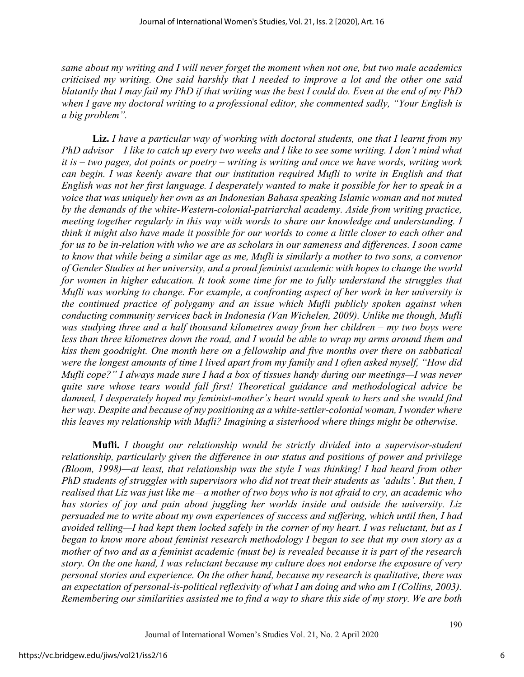*same about my writing and I will never forget the moment when not one, but two male academics criticised my writing. One said harshly that I needed to improve a lot and the other one said blatantly that I may fail my PhD if that writing was the best I could do. Even at the end of my PhD when I gave my doctoral writing to a professional editor, she commented sadly, "Your English is a big problem".* 

**Liz.** *I have a particular way of working with doctoral students, one that I learnt from my PhD advisor – I like to catch up every two weeks and I like to see some writing. I don't mind what it is – two pages, dot points or poetry – writing is writing and once we have words, writing work can begin. I was keenly aware that our institution required Mufli to write in English and that English was not her first language. I desperately wanted to make it possible for her to speak in a voice that was uniquely her own as an Indonesian Bahasa speaking Islamic woman and not muted by the demands of the white-Western-colonial-patriarchal academy. Aside from writing practice, meeting together regularly in this way with words to share our knowledge and understanding. I think it might also have made it possible for our worlds to come a little closer to each other and for us to be in-relation with who we are as scholars in our sameness and differences. I soon came to know that while being a similar age as me, Mufli is similarly a mother to two sons, a convenor of Gender Studies at her university, and a proud feminist academic with hopes to change the world for women in higher education. It took some time for me to fully understand the struggles that Mufli was working to change. For example, a confronting aspect of her work in her university is the continued practice of polygamy and an issue which Mufli publicly spoken against when conducting community services back in Indonesia (Van Wichelen, 2009). Unlike me though, Mufli was studying three and a half thousand kilometres away from her children – my two boys were less than three kilometres down the road, and I would be able to wrap my arms around them and kiss them goodnight. One month here on a fellowship and five months over there on sabbatical were the longest amounts of time I lived apart from my family and I often asked myself, "How did Mufli cope?" I always made sure I had a box of tissues handy during our meetings—I was never quite sure whose tears would fall first! Theoretical guidance and methodological advice be damned, I desperately hoped my feminist-mother's heart would speak to hers and she would find her way. Despite and because of my positioning as a white-settler-colonial woman, I wonder where this leaves my relationship with Mufli? Imagining a sisterhood where things might be otherwise.* 

**Mufli.** *I thought our relationship would be strictly divided into a supervisor-student relationship, particularly given the difference in our status and positions of power and privilege (Bloom, 1998)—at least, that relationship was the style I was thinking! I had heard from other PhD students of struggles with supervisors who did not treat their students as 'adults'. But then, I realised that Liz was just like me—a mother of two boys who is not afraid to cry, an academic who has stories of joy and pain about juggling her worlds inside and outside the university. Liz persuaded me to write about my own experiences of success and suffering, which until then, I had avoided telling—I had kept them locked safely in the corner of my heart. I was reluctant, but as I began to know more about feminist research methodology I began to see that my own story as a mother of two and as a feminist academic (must be) is revealed because it is part of the research story. On the one hand, I was reluctant because my culture does not endorse the exposure of very personal stories and experience. On the other hand, because my research is qualitative, there was an expectation of personal-is-political reflexivity of what I am doing and who am I (Collins, 2003). Remembering our similarities assisted me to find a way to share this side of my story. We are both*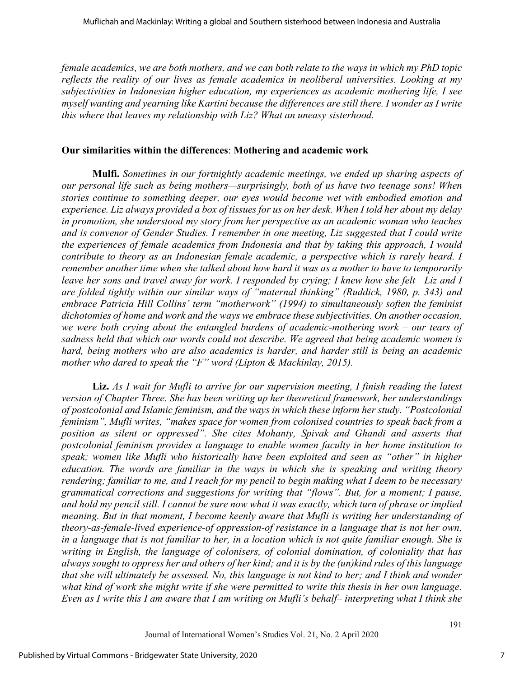*female academics, we are both mothers, and we can both relate to the ways in which my PhD topic reflects the reality of our lives as female academics in neoliberal universities. Looking at my subjectivities in Indonesian higher education, my experiences as academic mothering life, I see myself wanting and yearning like Kartini because the differences are still there. I wonder as I write this where that leaves my relationship with Liz? What an uneasy sisterhood.* 

#### **Our similarities within the differences**: **Mothering and academic work**

**Mulfi.** *Sometimes in our fortnightly academic meetings, we ended up sharing aspects of our personal life such as being mothers—surprisingly, both of us have two teenage sons! When stories continue to something deeper, our eyes would become wet with embodied emotion and experience. Liz always provided a box of tissues for us on her desk. When I told her about my delay in promotion, she understood my story from her perspective as an academic woman who teaches and is convenor of Gender Studies. I remember in one meeting, Liz suggested that I could write the experiences of female academics from Indonesia and that by taking this approach, I would contribute to theory as an Indonesian female academic, a perspective which is rarely heard. I remember another time when she talked about how hard it was as a mother to have to temporarily leave her sons and travel away for work. I responded by crying; I knew how she felt—Liz and I are folded tightly within our similar ways of "maternal thinking" (Ruddick, 1980, p. 343) and embrace Patricia Hill Collins' term "motherwork" (1994) to simultaneously soften the feminist dichotomies of home and work and the ways we embrace these subjectivities. On another occasion, we were both crying about the entangled burdens of academic-mothering work – our tears of sadness held that which our words could not describe. We agreed that being academic women is hard, being mothers who are also academics is harder, and harder still is being an academic mother who dared to speak the "F" word (Lipton & Mackinlay, 2015).* 

**Liz.** *As I wait for Mufli to arrive for our supervision meeting, I finish reading the latest version of Chapter Three. She has been writing up her theoretical framework, her understandings of postcolonial and Islamic feminism, and the ways in which these inform her study. "Postcolonial feminism", Mufli writes, "makes space for women from colonised countries to speak back from a position as silent or oppressed". She cites Mohanty, Spivak and Ghandi and asserts that postcolonial feminism provides a language to enable women faculty in her home institution to speak; women like Mufli who historically have been exploited and seen as "other" in higher education. The words are familiar in the ways in which she is speaking and writing theory rendering; familiar to me, and I reach for my pencil to begin making what I deem to be necessary grammatical corrections and suggestions for writing that "flows". But, for a moment; I pause, and hold my pencil still. I cannot be sure now what it was exactly, which turn of phrase or implied meaning. But in that moment, I become keenly aware that Mufli is writing her understanding of theory-as-female-lived experience-of oppression-of resistance in a language that is not her own, in a language that is not familiar to her, in a location which is not quite familiar enough. She is writing in English, the language of colonisers, of colonial domination, of coloniality that has always sought to oppress her and others of her kind; and it is by the (un)kind rules of this language that she will ultimately be assessed. No, this language is not kind to her; and I think and wonder what kind of work she might write if she were permitted to write this thesis in her own language. Even as I write this I am aware that I am writing on Mufli's behalf– interpreting what I think she*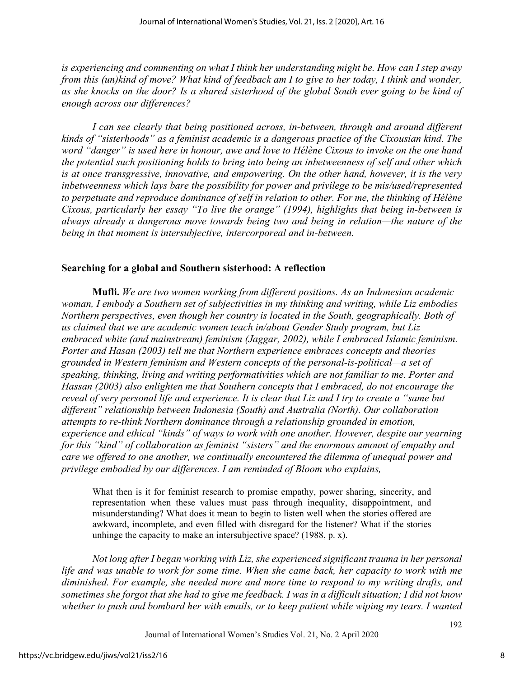*is experiencing and commenting on what I think her understanding might be. How can I step away from this (un)kind of move? What kind of feedback am I to give to her today, I think and wonder, as she knocks on the door? Is a shared sisterhood of the global South ever going to be kind of enough across our differences?* 

*I can see clearly that being positioned across, in-between, through and around different kinds of "sisterhoods" as a feminist academic is a dangerous practice of the Cixousian kind. The word "danger" is used here in honour, awe and love to Hélène Cixous to invoke on the one hand the potential such positioning holds to bring into being an inbetweenness of self and other which is at once transgressive, innovative, and empowering. On the other hand, however, it is the very inbetweenness which lays bare the possibility for power and privilege to be mis/used/represented to perpetuate and reproduce dominance of self in relation to other. For me, the thinking of Hélène Cixous, particularly her essay "To live the orange" (1994), highlights that being in-between is always already a dangerous move towards being two and being in relation—the nature of the being in that moment is intersubjective, intercorporeal and in-between.*

#### **Searching for a global and Southern sisterhood: A reflection**

**Mufli.** *We are two women working from different positions. As an Indonesian academic woman, I embody a Southern set of subjectivities in my thinking and writing, while Liz embodies Northern perspectives, even though her country is located in the South, geographically. Both of us claimed that we are academic women teach in/about Gender Study program, but Liz embraced white (and mainstream) feminism (Jaggar, 2002), while I embraced Islamic feminism. Porter and Hasan (2003) tell me that Northern experience embraces concepts and theories grounded in Western feminism and Western concepts of the personal-is-political—a set of speaking, thinking, living and writing performativities which are not familiar to me. Porter and Hassan (2003) also enlighten me that Southern concepts that I embraced, do not encourage the reveal of very personal life and experience. It is clear that Liz and I try to create a "same but different" relationship between Indonesia (South) and Australia (North). Our collaboration attempts to re-think Northern dominance through a relationship grounded in emotion, experience and ethical "kinds" of ways to work with one another. However, despite our yearning for this "kind" of collaboration as feminist "sisters" and the enormous amount of empathy and care we offered to one another, we continually encountered the dilemma of unequal power and privilege embodied by our differences. I am reminded of Bloom who explains,* 

What then is it for feminist research to promise empathy, power sharing, sincerity, and representation when these values must pass through inequality, disappointment, and misunderstanding? What does it mean to begin to listen well when the stories offered are awkward, incomplete, and even filled with disregard for the listener? What if the stories unhinge the capacity to make an intersubjective space? (1988, p. x).

*Not long after I began working with Liz, she experienced significant trauma in her personal life and was unable to work for some time. When she came back, her capacity to work with me diminished. For example, she needed more and more time to respond to my writing drafts, and sometimes she forgot that she had to give me feedback. I was in a difficult situation; I did not know whether to push and bombard her with emails, or to keep patient while wiping my tears. I wanted*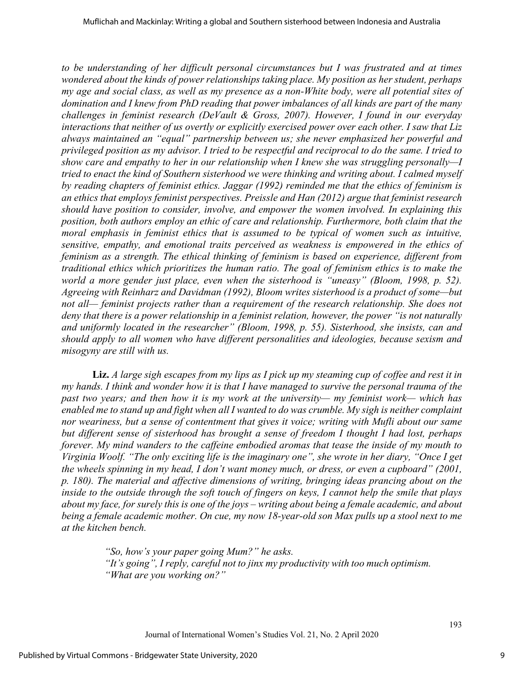*to be understanding of her difficult personal circumstances but I was frustrated and at times wondered about the kinds of power relationships taking place. My position as her student, perhaps my age and social class, as well as my presence as a non-White body, were all potential sites of domination and I knew from PhD reading that power imbalances of all kinds are part of the many challenges in feminist research (DeVault & Gross, 2007). However, I found in our everyday interactions that neither of us overtly or explicitly exercised power over each other. I saw that Liz always maintained an "equal" partnership between us; she never emphasized her powerful and privileged position as my advisor. I tried to be respectful and reciprocal to do the same. I tried to show care and empathy to her in our relationship when I knew she was struggling personally—I tried to enact the kind of Southern sisterhood we were thinking and writing about. I calmed myself by reading chapters of feminist ethics. Jaggar (1992) reminded me that the ethics of feminism is an ethics that employs feminist perspectives. Preissle and Han (2012) argue that feminist research should have position to consider, involve, and empower the women involved. In explaining this position, both authors employ an ethic of care and relationship. Furthermore, both claim that the moral emphasis in feminist ethics that is assumed to be typical of women such as intuitive, sensitive, empathy, and emotional traits perceived as weakness is empowered in the ethics of feminism as a strength. The ethical thinking of feminism is based on experience, different from traditional ethics which prioritizes the human ratio. The goal of feminism ethics is to make the world a more gender just place, even when the sisterhood is "uneasy" (Bloom, 1998, p. 52). Agreeing with Reinharz and Davidman (1992), Bloom writes sisterhood is a product of some—but not all— feminist projects rather than a requirement of the research relationship. She does not deny that there is a power relationship in a feminist relation, however, the power "is not naturally and uniformly located in the researcher" (Bloom, 1998, p. 55). Sisterhood, she insists, can and should apply to all women who have different personalities and ideologies, because sexism and misogyny are still with us.* 

**Liz.** *A large sigh escapes from my lips as I pick up my steaming cup of coffee and rest it in my hands. I think and wonder how it is that I have managed to survive the personal trauma of the past two years; and then how it is my work at the university— my feminist work— which has enabled me to stand up and fight when all I wanted to do was crumble. My sigh is neither complaint nor weariness, but a sense of contentment that gives it voice; writing with Mufli about our same but different sense of sisterhood has brought a sense of freedom I thought I had lost, perhaps forever. My mind wanders to the caffeine embodied aromas that tease the inside of my mouth to Virginia Woolf. "The only exciting life is the imaginary one", she wrote in her diary, "Once I get the wheels spinning in my head, I don't want money much, or dress, or even a cupboard" (2001, p. 180). The material and affective dimensions of writing, bringing ideas prancing about on the inside to the outside through the soft touch of fingers on keys, I cannot help the smile that plays about my face, for surely this is one of the joys – writing about being a female academic, and about being a female academic mother. On cue, my now 18-year-old son Max pulls up a stool next to me at the kitchen bench.* 

> *"So, how's your paper going Mum?" he asks. "It's going", I reply, careful not to jinx my productivity with too much optimism. "What are you working on?"*

> > Journal of International Women's Studies Vol. 21, No. 2 April 2020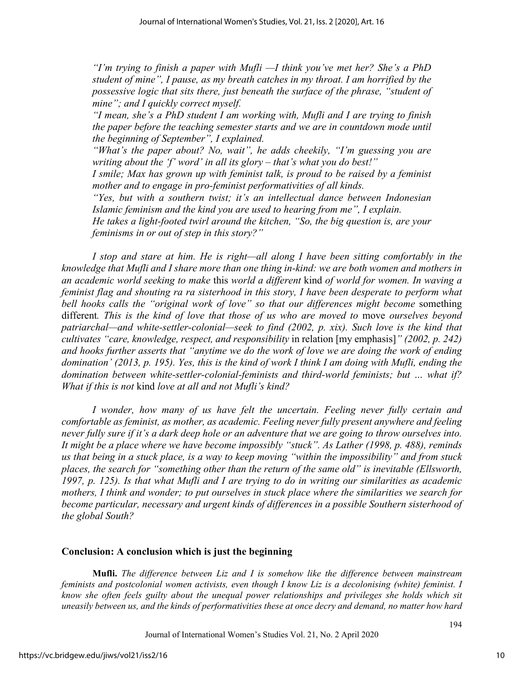*"I'm trying to finish a paper with Mufli —I think you've met her? She's a PhD student of mine", I pause, as my breath catches in my throat. I am horrified by the possessive logic that sits there, just beneath the surface of the phrase, "student of mine"; and I quickly correct myself.* 

*"I mean, she's a PhD student I am working with, Mufli and I are trying to finish the paper before the teaching semester starts and we are in countdown mode until the beginning of September", I explained.* 

*"What's the paper about? No, wait", he adds cheekily, "I'm guessing you are writing about the 'f' word' in all its glory – that's what you do best!"* 

*I smile; Max has grown up with feminist talk, is proud to be raised by a feminist mother and to engage in pro-feminist performativities of all kinds.* 

*"Yes, but with a southern twist; it's an intellectual dance between Indonesian Islamic feminism and the kind you are used to hearing from me", I explain.* 

*He takes a light-footed twirl around the kitchen, "So, the big question is, are your feminisms in or out of step in this story?"*

*I stop and stare at him. He is right—all along I have been sitting comfortably in the knowledge that Mufli and I share more than one thing in-kind: we are both women and mothers in an academic world seeking to make* this *world a different* kind *of world for women. In waving a feminist flag and shouting ra ra sisterhood in this story, I have been desperate to perform what*  bell hooks calls the "original work of love" so that our differences might become something different*. This is the kind of love that those of us who are moved to* move *ourselves beyond patriarchal—and white-settler-colonial—seek to find (2002, p. xix). Such love is the kind that cultivates "care, knowledge, respect, and responsibility* in relation [my emphasis]*" (2002, p. 242) and hooks further asserts that "anytime we do the work of love we are doing the work of ending domination' (2013, p. 195). Yes, this is the kind of work I think I am doing with Mufli, ending the domination between white-settler-colonial-feminists and third-world feminists; but … what if? What if this is not* kind *love at all and not Mufli's kind?* 

*I wonder, how many of us have felt the uncertain. Feeling never fully certain and comfortable as feminist, as mother, as academic. Feeling never fully present anywhere and feeling never fully sure if it's a dark deep hole or an adventure that we are going to throw ourselves into. It might be a place where we have become impossibly "stuck". As Lather (1998, p. 488), reminds us that being in a stuck place, is a way to keep moving "within the impossibility" and from stuck places, the search for "something other than the return of the same old" is inevitable (Ellsworth, 1997, p. 125). Is that what Mufli and I are trying to do in writing our similarities as academic mothers, I think and wonder; to put ourselves in stuck place where the similarities we search for become particular, necessary and urgent kinds of differences in a possible Southern sisterhood of the global South?* 

#### **Conclusion: A conclusion which is just the beginning**

**Mufli.** *The difference between Liz and I is somehow like the difference between mainstream feminists and postcolonial women activists, even though I know Liz is a decolonising (white) feminist. I know she often feels guilty about the unequal power relationships and privileges she holds which sit uneasily between us, and the kinds of performativities these at once decry and demand, no matter how hard*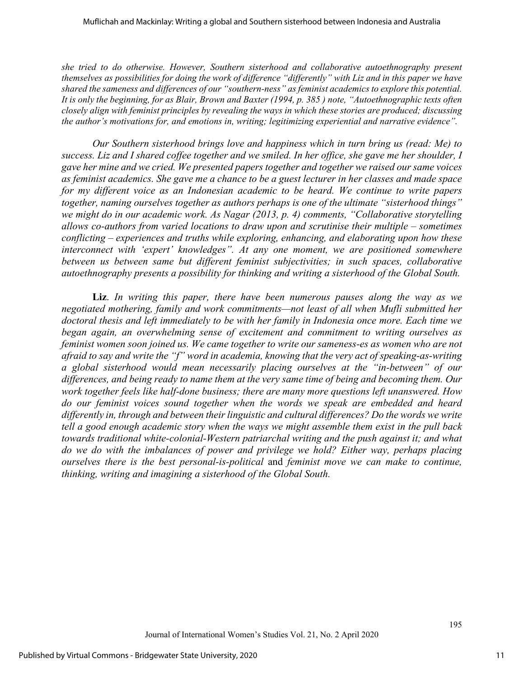*she tried to do otherwise. However, Southern sisterhood and collaborative autoethnography present themselves as possibilities for doing the work of difference "differently" with Liz and in this paper we have shared the sameness and differences of our "southern-ness" as feminist academics to explore this potential. It is only the beginning, for as Blair, Brown and Baxter (1994, p. 385 ) note, "Autoethnographic texts often closely align with feminist principles by revealing the ways in which these stories are produced; discussing the author's motivations for, and emotions in, writing; legitimizing experiential and narrative evidence".* 

*Our Southern sisterhood brings love and happiness which in turn bring us (read: Me) to success. Liz and I shared coffee together and we smiled. In her office, she gave me her shoulder, I gave her mine and we cried. We presented papers together and together we raised our same voices as feminist academics. She gave me a chance to be a guest lecturer in her classes and made space for my different voice as an Indonesian academic to be heard. We continue to write papers together, naming ourselves together as authors perhaps is one of the ultimate "sisterhood things" we might do in our academic work. As Nagar (2013, p. 4) comments, "Collaborative storytelling allows co-authors from varied locations to draw upon and scrutinise their multiple – sometimes conflicting – experiences and truths while exploring, enhancing, and elaborating upon how these interconnect with 'expert' knowledges". At any one moment, we are positioned somewhere between us between same but different feminist subjectivities; in such spaces, collaborative autoethnography presents a possibility for thinking and writing a sisterhood of the Global South.* 

**Liz**. *In writing this paper, there have been numerous pauses along the way as we negotiated mothering, family and work commitments—not least of all when Mufli submitted her doctoral thesis and left immediately to be with her family in Indonesia once more. Each time we began again, an overwhelming sense of excitement and commitment to writing ourselves as feminist women soon joined us. We came together to write our sameness-es as women who are not afraid to say and write the "f" word in academia, knowing that the very act of speaking-as-writing a global sisterhood would mean necessarily placing ourselves at the "in-between" of our differences, and being ready to name them at the very same time of being and becoming them. Our work together feels like half-done business; there are many more questions left unanswered. How do our feminist voices sound together when the words we speak are embedded and heard differently in, through and between their linguistic and cultural differences? Do the words we write tell a good enough academic story when the ways we might assemble them exist in the pull back towards traditional white-colonial-Western patriarchal writing and the push against it; and what do we do with the imbalances of power and privilege we hold? Either way, perhaps placing ourselves there is the best personal-is-political* and *feminist move we can make to continue, thinking, writing and imagining a sisterhood of the Global South.*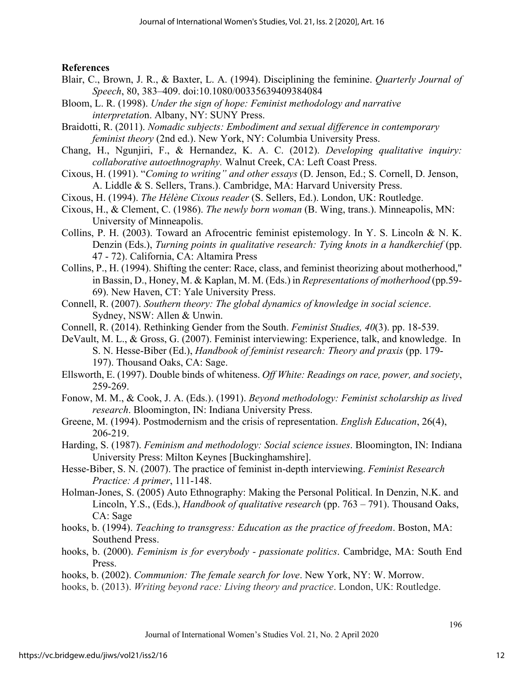#### **References**

- Blair, C., Brown, J. R., & Baxter, L. A. (1994). Disciplining the feminine. *Quarterly Journal of Speech*, 80, 383–409. doi:10.1080/00335639409384084
- Bloom, L. R. (1998). *Under the sign of hope: Feminist methodology and narrative interpretatio*n. Albany, NY: SUNY Press.

Braidotti, R. (2011). *Nomadic subjects: Embodiment and sexual difference in contemporary feminist theory* (2nd ed.). New York, NY: Columbia University Press.

- Chang, H., Ngunjiri, F., & Hernandez, K. A. C. (2012). *Developing qualitative inquiry: collaborative autoethnography.* Walnut Creek, CA: Left Coast Press.
- Cixous, H. (1991). "*Coming to writing" and other essays* (D. Jenson, Ed.; S. Cornell, D. Jenson, A. Liddle & S. Sellers, Trans.). Cambridge, MA: Harvard University Press.
- Cixous, H. (1994). *The Hélène Cixous reader* (S. Sellers, Ed.). London, UK: Routledge.
- Cixous, H., & Clement, C. (1986). *The newly born woman* (B. Wing, trans.). Minneapolis, MN: University of Minneapolis.
- Collins, P. H. (2003). Toward an Afrocentric feminist epistemology. In Y. S. Lincoln & N. K. Denzin (Eds.), *Turning points in qualitative research: Tying knots in a handkerchief* (pp. 47 - 72). California, CA: Altamira Press
- Collins, P., H. (1994). Shifting the center: Race, class, and feminist theorizing about motherhood," in Bassin, D., Honey, M. & Kaplan, M. M. (Eds.) in *Representations of motherhood* (pp.59- 69). New Haven, CT: Yale University Press.
- Connell, R. (2007). *Southern theory: The global dynamics of knowledge in social science*. Sydney, NSW: Allen & Unwin.
- Connell, R. (2014). Rethinking Gender from the South. *Feminist Studies, 40*(3). pp. 18-539.
- DeVault, M. L., & Gross, G. (2007). Feminist interviewing: Experience, talk, and knowledge. In S. N. Hesse-Biber (Ed.), *Handbook of feminist research: Theory and praxis* (pp. 179- 197). Thousand Oaks, CA: Sage.
- Ellsworth, E. (1997). Double binds of whiteness. *Off White: Readings on race, power, and society*, 259-269.
- Fonow, M. M., & Cook, J. A. (Eds.). (1991). *Beyond methodology: Feminist scholarship as lived research*. Bloomington, IN: Indiana University Press.
- Greene, M. (1994). Postmodernism and the crisis of representation. *English Education*, 26(4), 206-219.
- Harding, S. (1987). *Feminism and methodology: Social science issues*. Bloomington, IN: Indiana University Press: Milton Keynes [Buckinghamshire].
- Hesse-Biber, S. N. (2007). The practice of feminist in-depth interviewing. *Feminist Research Practice: A primer*, 111-148.
- Holman-Jones, S. (2005) Auto Ethnography: Making the Personal Political. In Denzin, N.K. and Lincoln, Y.S., (Eds.), *Handbook of qualitative research* (pp. 763 – 791). Thousand Oaks, CA: Sage
- hooks, b. (1994). *Teaching to transgress: Education as the practice of freedom*. Boston, MA: Southend Press.
- hooks, b. (2000). *Feminism is for everybody passionate politics*. Cambridge, MA: South End Press.
- hooks, b. (2002). *Communion: The female search for love*. New York, NY: W. Morrow.
- hooks, b. (2013). *Writing beyond race: Living theory and practice*. London, UK: Routledge.